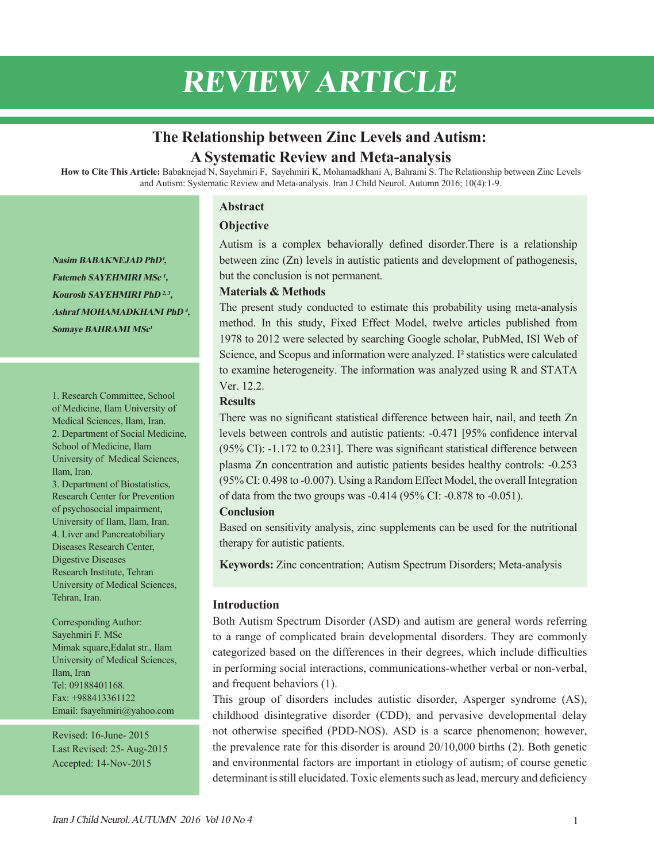# **REVIEW ARTICLE**

# **The Relationship between Zinc Levels and Autism: A Systematic Review and Meta-analysis**

**How to Cite This Article:** Babaknejad N, Sayehmiri F, Sayehmiri K, Mohamadkhani A, Bahrami S. The Relationship between Zinc Levels and Autism: Systematic Review and Meta-analysis. Iran J Child Neurol. Autumn 2016; 10(4):1-9.

## **Abstract**

# **Objective**

Autism is a complex behaviorally defined disorder.There is a relationship between zinc (Zn) levels in autistic patients and development of pathogenesis, but the conclusion is not permanent.

## **Materials & Methods**

The present study conducted to estimate this probability using meta-analysis method. In this study, Fixed Effect Model, twelve articles published from 1978 to 2012 were selected by searching Google scholar, PubMed, ISI Web of Science, and Scopus and information were analyzed. I² statistics were calculated to examine heterogeneity. The information was analyzed using R and STATA Ver. 12.2.

## **Results**

There was no significant statistical difference between hair, nail, and teeth Zn levels between controls and autistic patients: -0.471 [95% confidence interval (95% CI): -1.172 to 0.231]. There was significant statistical difference between plasma Zn concentration and autistic patients besides healthy controls: -0.253 (95% CI: 0.498 to -0.007). Using a Random Effect Model, the overall Integration of data from the two groups was -0.414 (95% CI: -0.878 to -0.051).

## **Conclusion**

Based on sensitivity analysis, zinc supplements can be used for the nutritional therapy for autistic patients.

**Keywords:** Zinc concentration; Autism Spectrum Disorders; Meta-analysis

# **Introduction**

Both Autism Spectrum Disorder (ASD) and autism are general words referring to a range of complicated brain developmental disorders. They are commonly categorized based on the differences in their degrees, which include difficulties in performing social interactions, communications-whether verbal or non-verbal, and frequent behaviors (1).

This group of disorders includes autistic disorder, Asperger syndrome (AS), childhood disintegrative disorder (CDD), and pervasive developmental delay not otherwise specified (PDD-NOS). ASD is a scarce phenomenon; however, the prevalence rate for this disorder is around 20/10,000 births (2). Both genetic and environmental factors are important in etiology of autism; of course genetic determinant is still elucidated. Toxic elements such as lead, mercury and deficiency

**Nasim BABAKNEJAD PhD<sup>1</sup>, Fatemeh SAYEHMIRI MSc <sup>1</sup>, Kourosh SAYEHMIRI PhD 2, 3, Ashraf MOHAMADKHANI PhD <sup>4</sup>, Somaye BAHRAMI MSc<sup>1</sup>**

1. Research Committee, School of Medicine, Ilam University of Medical Sciences, Ilam, Iran. 2. Department of Social Medicine, School of Medicine, Ilam University of Medical Sciences, Ilam, Iran.

3. Department of Biostatistics, Research Center for Prevention of psychosocial impairment, University of Ilam, Ilam, Iran. 4. Liver and Pancreatobiliary Diseases Research Center, Digestive Diseases Research Institute, Tehran University of Medical Sciences, Tehran, Iran.

Corresponding Author: Sayehmiri F. MSc Mimak square,Edalat str., Ilam University of Medical Sciences, Ilam, Iran Tel: 09188401168. Fax: +988413361122 Email: fsayehmiri@yahoo.com

Revised: 16-June- 2015 Last Revised: 25- Aug-2015 Accepted: 14-Nov-2015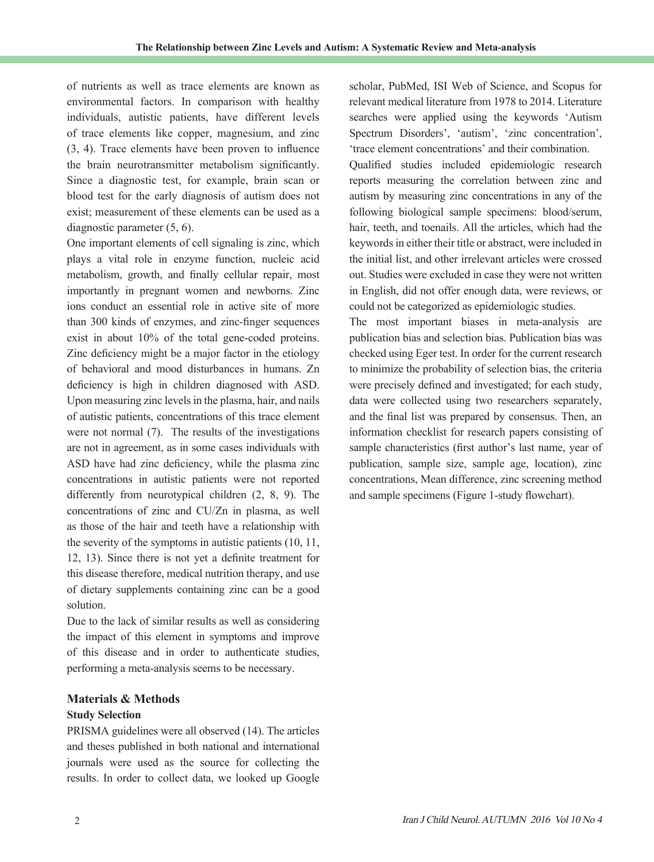of nutrients as well as trace elements are known as environmental factors. In comparison with healthy individuals, autistic patients, have different levels of trace elements like copper, magnesium, and zinc (3, 4). Trace elements have been proven to influence the brain neurotransmitter metabolism significantly. Since a diagnostic test, for example, brain scan or blood test for the early diagnosis of autism does not exist; measurement of these elements can be used as a diagnostic parameter (5, 6).

One important elements of cell signaling is zinc, which plays a vital role in enzyme function, nucleic acid metabolism, growth, and finally cellular repair, most importantly in pregnant women and newborns. Zinc ions conduct an essential role in active site of more than 300 kinds of enzymes, and zinc-finger sequences exist in about 10% of the total gene-coded proteins. Zinc deficiency might be a major factor in the etiology of behavioral and mood disturbances in humans. Zn deficiency is high in children diagnosed with ASD. Upon measuring zinc levels in the plasma, hair, and nails of autistic patients, concentrations of this trace element were not normal (7). The results of the investigations are not in agreement, as in some cases individuals with ASD have had zinc deficiency, while the plasma zinc concentrations in autistic patients were not reported differently from neurotypical children (2, 8, 9). The concentrations of zinc and CU/Zn in plasma, as well as those of the hair and teeth have a relationship with the severity of the symptoms in autistic patients (10, 11, 12, 13). Since there is not yet a definite treatment for this disease therefore, medical nutrition therapy, and use of dietary supplements containing zinc can be a good solution.

Due to the lack of similar results as well as considering the impact of this element in symptoms and improve of this disease and in order to authenticate studies, performing a meta-analysis seems to be necessary.

# **Materials & Methods**

# **Study Selection**

PRISMA guidelines were all observed (14). The articles and theses published in both national and international journals were used as the source for collecting the results. In order to collect data, we looked up Google

scholar, PubMed, ISI Web of Science, and Scopus for relevant medical literature from 1978 to 2014. Literature searches were applied using the keywords 'Autism Spectrum Disorders', 'autism', 'zinc concentration', 'trace element concentrations' and their combination.

Qualified studies included epidemiologic research reports measuring the correlation between zinc and autism by measuring zinc concentrations in any of the following biological sample specimens: blood/serum, hair, teeth, and toenails. All the articles, which had the keywords in either their title or abstract, were included in the initial list, and other irrelevant articles were crossed out. Studies were excluded in case they were not written in English, did not offer enough data, were reviews, or could not be categorized as epidemiologic studies.

The most important biases in meta-analysis are publication bias and selection bias. Publication bias was checked using Eger test. In order for the current research to minimize the probability of selection bias, the criteria were precisely defined and investigated; for each study, data were collected using two researchers separately, and the final list was prepared by consensus. Then, an information checklist for research papers consisting of sample characteristics (first author's last name, year of publication, sample size, sample age, location), zinc concentrations, Mean difference, zinc screening method and sample specimens (Figure 1-study flowchart).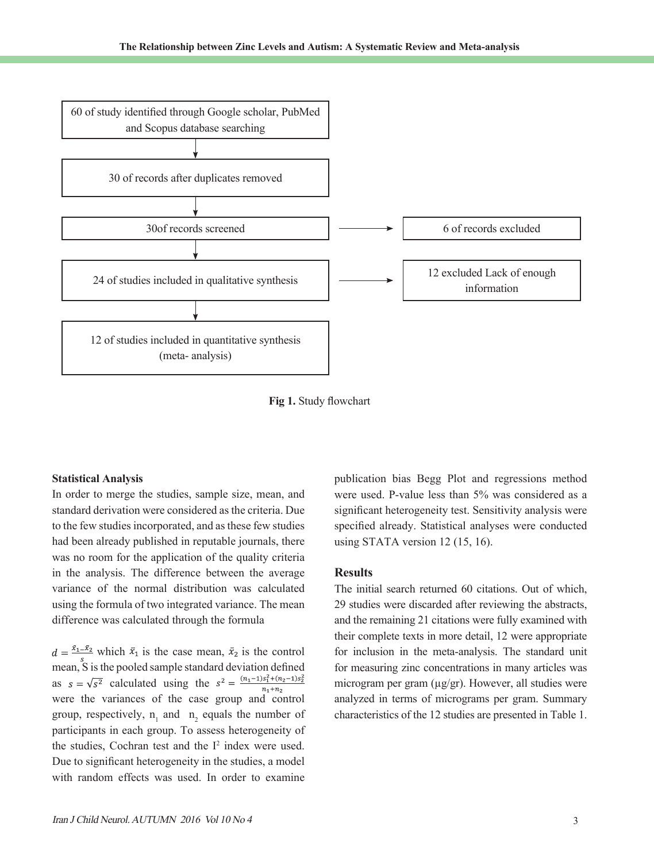

**Fig 1.** Study flowchart

#### **Statistical Analysis**

In order to merge the studies, sample size, mean, and standard derivation were considered as the criteria. Due to the few studies incorporated, and as these few studies had been already published in reputable journals, there was no room for the application of the quality criteria in the analysis. The difference between the average variance of the normal distribution was calculated using the formula of two integrated variance. The mean difference was calculated through the formula

 $d = \frac{\bar{x}_1 - \bar{x}_2}{\bar{x}_1}$  which  $\bar{x}_1$  is the case mean,  $\bar{x}_2$  is the control mean, S is the pooled sample standard deviation defined as  $s = \sqrt{s^2}$  calculated using the  $s^2 = \frac{(n_1-1)s_1^2 + (n_2-1)s_2^2}{n_1+1}$  $n_1 + n_2$ were the variances of the case group and control group, respectively,  $n_1$  and  $n_2$  equals the number of participants in each group. To assess heterogeneity of the studies, Cochran test and the  $I^2$  index were used. Due to significant heterogeneity in the studies, a model with random effects was used. In order to examine

publication bias Begg Plot and regressions method were used. P-value less than 5% was considered as a significant heterogeneity test. Sensitivity analysis were specified already. Statistical analyses were conducted using STATA version 12 (15, 16).

#### **Results**

The initial search returned 60 citations. Out of which, 29 studies were discarded after reviewing the abstracts, and the remaining 21 citations were fully examined with their complete texts in more detail, 12 were appropriate for inclusion in the meta-analysis. The standard unit for measuring zinc concentrations in many articles was microgram per gram (µg/gr). However, all studies were analyzed in terms of micrograms per gram. Summary characteristics of the 12 studies are presented in Table 1.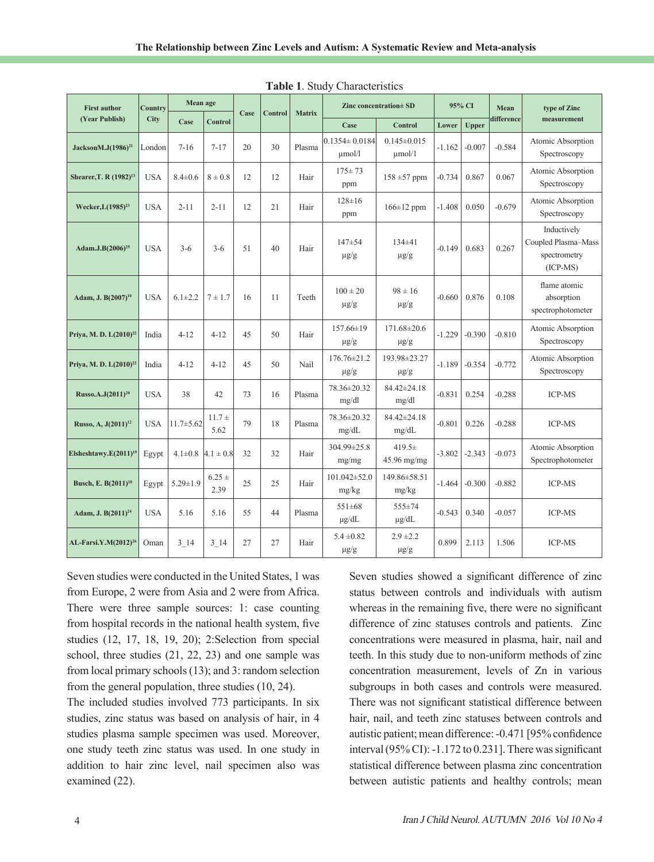| <b>First author</b><br>(Year Publish) | Country<br>City | Mean age                  |                  |      | Control | <b>Matrix</b> | Zinc concentration $\pm$ SD        |                                  | 95% CI   |              | Mean       | type of Zinc                                                     |
|---------------------------------------|-----------------|---------------------------|------------------|------|---------|---------------|------------------------------------|----------------------------------|----------|--------------|------------|------------------------------------------------------------------|
|                                       |                 | Case                      | Control          | Case |         |               | Case                               | <b>Control</b>                   | Lower    | <b>Upper</b> | difference | measurement                                                      |
| JacksonM.J $(1986)^{21}$              | London          | $7 - 16$                  | $7 - 17$         | 20   | 30      | Plasma        | $0.1354 \pm 0.0184$<br>$\mu$ mol/l | $0.145 \pm 0.015$<br>$\mu$ mol/1 | $-1.162$ | $-0.007$     | $-0.584$   | Atomic Absorption<br>Spectroscopy                                |
| Shearer, T. R (1982) <sup>13</sup>    | <b>USA</b>      | $8.4 \pm 0.6$             | $8 \pm 0.8$      | 12   | 12      | Hair          | $175 \pm 73$<br>ppm                | $158 \pm 57$ ppm                 | $-0.734$ | 0.867        | 0.067      | Atomic Absorption<br>Spectroscopy                                |
| Wecker, L(1985) <sup>23</sup>         | <b>USA</b>      | $2 - 11$                  | $2 - 11$         | 12   | 21      | Hair          | $128 \pm 16$<br>ppm                | $166 \pm 12$ ppm                 | $-1.408$ | 0.050        | $-0.679$   | Atomic Absorption<br>Spectroscopy                                |
| Adam.J.B(2006) <sup>25</sup>          | <b>USA</b>      | $3-6$                     | $3-6$            | 51   | 40      | Hair          | $147 + 54$<br>$\mu$ g/g            | $134\pm41$<br>$\mu$ g/g          | $-0.149$ | 0.683        | 0.267      | Inductively<br>Coupled Plasma-Mass<br>spectrometry<br>$(ICP-MS)$ |
| Adam, J. B(2007) <sup>10</sup>        | <b>USA</b>      | $6.1 \pm 2.2$             | $7 \pm 1.7$      | 16   | 11      | Teeth         | $100 \pm 20$<br>$\mu$ g/g          | $98 \pm 16$<br>$\mu$ g/g         | $-0.660$ | 0.876        | 0.108      | flame atomic<br>absorption<br>spectrophotometer                  |
| Priya, M. D. L(2010) <sup>22</sup>    | India           | $4 - 12$                  | $4 - 12$         | 45   | 50      | Hair          | $157.66\pm19$<br>$\mu$ g/g         | $171.68 \pm 20.6$<br>$\mu$ g/g   | $-1.229$ | $-0.390$     | $-0.810$   | Atomic Absorption<br>Spectroscopy                                |
| Priya, M. D. $L(2010)^{22}$           | India           | $4 - 12$                  | $4 - 12$         | 45   | 50      | Nail          | $176.76 \pm 21.2$<br>$\mu$ g/g     | 193.98±23.27<br>$\mu$ g/g        | $-1.189$ | $-0.354$     | $-0.772$   | Atomic Absorption<br>Spectroscopy                                |
| Russo.A.J(2011) <sup>20</sup>         | <b>USA</b>      | 38                        | 42               | 73   | 16      | Plasma        | 78.36±20.32<br>mg/dl               | 84.42±24.18<br>mg/dl             | $-0.831$ | 0.254        | $-0.288$   | <b>ICP-MS</b>                                                    |
| Russo, A, J(2011) <sup>12</sup>       | <b>USA</b>      | $11.7 \pm 5.62$           | $11.7 +$<br>5.62 | 79   | 18      | Plasma        | 78.36±20.32<br>mg/dL               | 84.42±24.18<br>mg/dL             | $-0.801$ | 0.226        | $-0.288$   | <b>ICP-MS</b>                                                    |
| Elsheshtawy.E $(2011)^{19}$           | Egypt           | $4.1\pm0.8$ $ 4.1\pm0.8 $ |                  | 32   | 32      | Hair          | 304.99±25.8<br>mg/mg               | $419.5\pm$<br>$45.96$ mg/mg      | $-3.802$ | $-2.343$     | $-0.073$   | Atomic Absorption<br>Spectrophotometer                           |
| Busch, E. B(2011) <sup>18</sup>       | Egypt           | $5.29 \pm 1.9$            | $6.25 +$<br>2.39 | 25   | 25      | Hair          | $101.042 \pm 52.0$<br>mg/kg        | 149.86±58.51<br>mg/kg            | -1.464   | $-0.300$     | $-0.882$   | <b>ICP-MS</b>                                                    |
| Adam, J. B(2011) <sup>24</sup>        | <b>USA</b>      | 5.16                      | 5.16             | 55   | 44      | Plasma        | $551 \pm 68$<br>$\mu$ g/dL         | $555 \pm 74$<br>$\mu$ g/dL       | $-0.543$ | 0.340        | $-0.057$   | <b>ICP-MS</b>                                                    |
| AL-Farsi.Y.M(2012) <sup>26</sup>      | Oman            | 3 14                      | $3 - 14$         | 27   | 27      | Hair          | $5.4 \pm 0.82$<br>$\mu$ g/g        | $2.9 \pm 2.2$<br>$\mu$ g/g       | 0.899    | 2.113        | 1.506      | <b>ICP-MS</b>                                                    |

**Table 1**. Study Characteristics

Seven studies were conducted in the United States, 1 was from Europe, 2 were from Asia and 2 were from Africa. There were three sample sources: 1: case counting from hospital records in the national health system, five studies (12, 17, 18, 19, 20); 2:Selection from special school, three studies (21, 22, 23) and one sample was from local primary schools (13); and 3: random selection from the general population, three studies (10, 24).

The included studies involved 773 participants. In six studies, zinc status was based on analysis of hair, in 4 studies plasma sample specimen was used. Moreover, one study teeth zinc status was used. In one study in addition to hair zinc level, nail specimen also was examined (22).

Seven studies showed a significant difference of zinc status between controls and individuals with autism whereas in the remaining five, there were no significant difference of zinc statuses controls and patients. Zinc concentrations were measured in plasma, hair, nail and teeth. In this study due to non-uniform methods of zinc concentration measurement, levels of Zn in various subgroups in both cases and controls were measured. There was not significant statistical difference between hair, nail, and teeth zinc statuses between controls and autistic patient; mean difference: -0.471 [95% confidence interval (95% CI): -1.172 to 0.231]. There was significant statistical difference between plasma zinc concentration between autistic patients and healthy controls; mean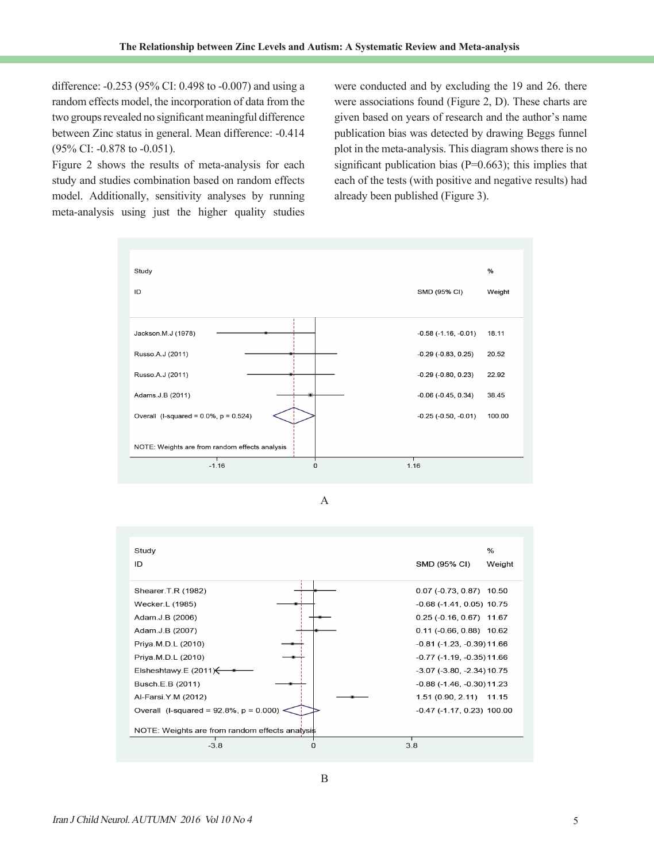difference: -0.253 (95% CI: 0.498 to -0.007) and using a random effects model, the incorporation of data from the two groups revealed no significant meaningful difference between Zinc status in general. Mean difference: -0.414 (95% CI: -0.878 to -0.051).

Figure 2 shows the results of meta-analysis for each study and studies combination based on random effects model. Additionally, sensitivity analyses by running meta-analysis using just the higher quality studies

were conducted and by excluding the 19 and 26. there were associations found (Figure 2, D). These charts are given based on years of research and the author's name publication bias was detected by drawing Beggs funnel plot in the meta-analysis. This diagram shows there is no significant publication bias  $(P=0.663)$ ; this implies that each of the tests (with positive and negative results) had already been published (Figure 3).



A

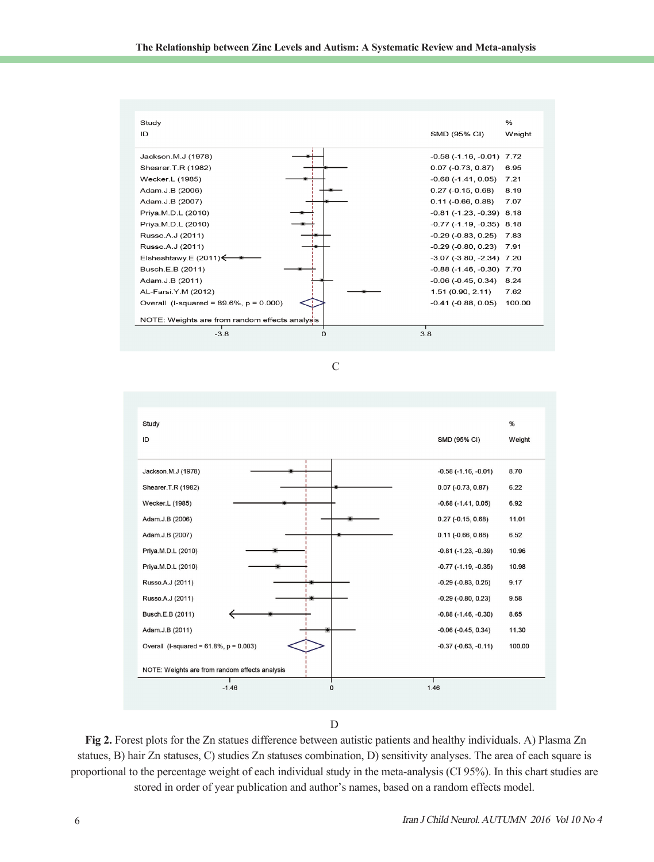





D

**Fig 2.** Forest plots for the Zn statues difference between autistic patients and healthy individuals. A) Plasma Zn statues, B) hair Zn statuses, C) studies Zn statuses combination, D) sensitivity analyses. The area of each square is proportional to the percentage weight of each individual study in the meta-analysis (CI 95%). In this chart studies are stored in order of year publication and author's names, based on a random effects model.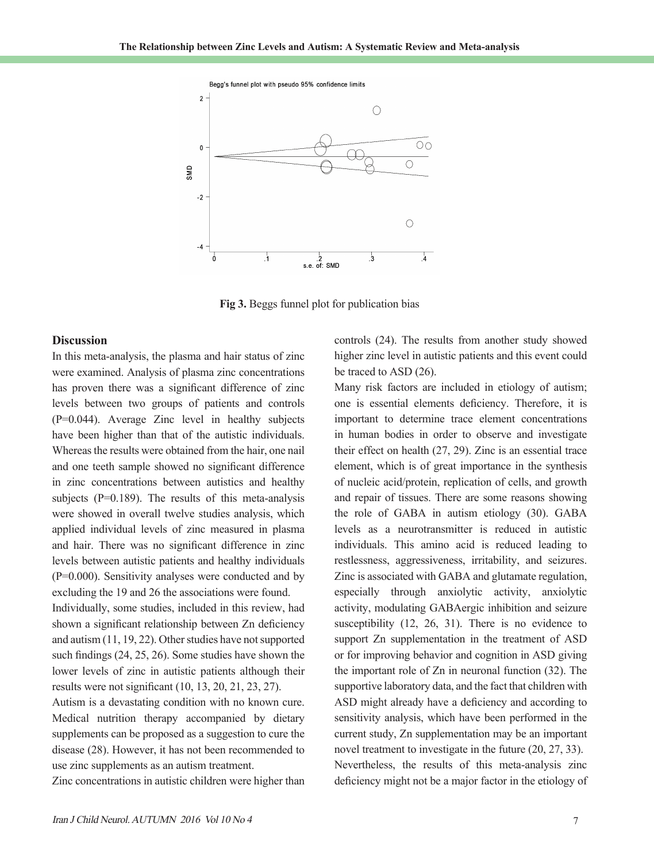

**Fig 3.** Beggs funnel plot for publication bias

## **Discussion**

In this meta-analysis, the plasma and hair status of zinc were examined. Analysis of plasma zinc concentrations has proven there was a significant difference of zinc levels between two groups of patients and controls (P=0.044). Average Zinc level in healthy subjects have been higher than that of the autistic individuals. Whereas the results were obtained from the hair, one nail and one teeth sample showed no significant difference in zinc concentrations between autistics and healthy subjects  $(P=0.189)$ . The results of this meta-analysis were showed in overall twelve studies analysis, which applied individual levels of zinc measured in plasma and hair. There was no significant difference in zinc levels between autistic patients and healthy individuals (P=0.000). Sensitivity analyses were conducted and by excluding the 19 and 26 the associations were found.

Individually, some studies, included in this review, had shown a significant relationship between Zn deficiency and autism (11, 19, 22). Other studies have not supported such findings (24, 25, 26). Some studies have shown the lower levels of zinc in autistic patients although their results were not significant (10, 13, 20, 21, 23, 27).

Autism is a devastating condition with no known cure. Medical nutrition therapy accompanied by dietary supplements can be proposed as a suggestion to cure the disease (28). However, it has not been recommended to use zinc supplements as an autism treatment.

Zinc concentrations in autistic children were higher than

controls (24). The results from another study showed higher zinc level in autistic patients and this event could be traced to ASD (26).

Many risk factors are included in etiology of autism; one is essential elements deficiency. Therefore, it is important to determine trace element concentrations in human bodies in order to observe and investigate their effect on health (27, 29). Zinc is an essential trace element, which is of great importance in the synthesis of nucleic acid/protein, replication of cells, and growth and repair of tissues. There are some reasons showing the role of GABA in autism etiology (30). GABA levels as a neurotransmitter is reduced in autistic individuals. This amino acid is reduced leading to restlessness, aggressiveness, irritability, and seizures. Zinc is associated with GABA and glutamate regulation, especially through anxiolytic activity, anxiolytic activity, modulating GABAergic inhibition and seizure susceptibility (12, 26, 31). There is no evidence to support Zn supplementation in the treatment of ASD or for improving behavior and cognition in ASD giving the important role of Zn in neuronal function (32). The supportive laboratory data, and the fact that children with ASD might already have a deficiency and according to sensitivity analysis, which have been performed in the current study, Zn supplementation may be an important novel treatment to investigate in the future (20, 27, 33). Nevertheless, the results of this meta-analysis zinc deficiency might not be a major factor in the etiology of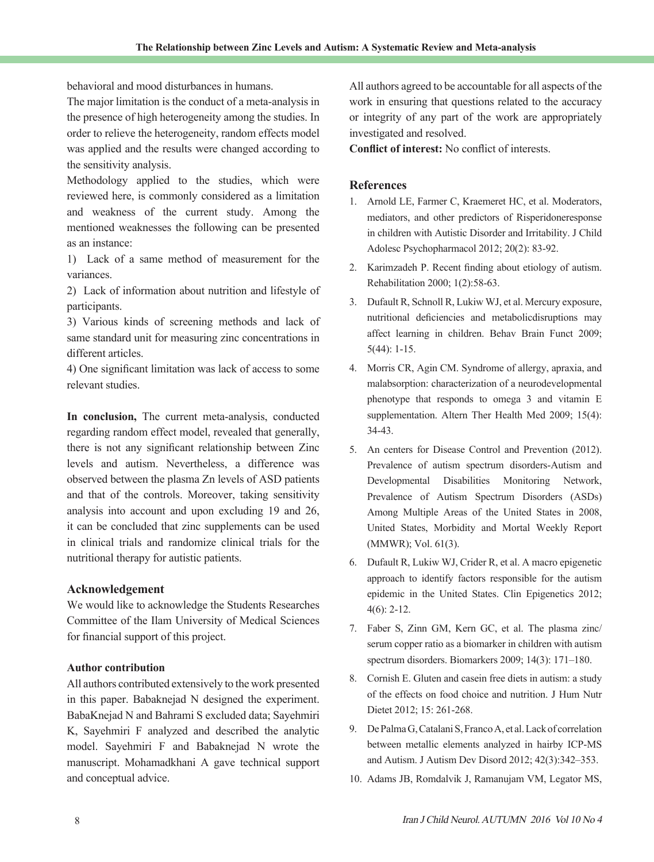behavioral and mood disturbances in humans.

The major limitation is the conduct of a meta-analysis in the presence of high heterogeneity among the studies. In order to relieve the heterogeneity, random effects model was applied and the results were changed according to the sensitivity analysis.

Methodology applied to the studies, which were reviewed here, is commonly considered as a limitation and weakness of the current study. Among the mentioned weaknesses the following can be presented as an instance:

1) Lack of a same method of measurement for the variances.

2) Lack of information about nutrition and lifestyle of participants.

3) Various kinds of screening methods and lack of same standard unit for measuring zinc concentrations in different articles.

4) One significant limitation was lack of access to some relevant studies.

**In conclusion,** The current meta-analysis, conducted regarding random effect model, revealed that generally, there is not any significant relationship between Zinc levels and autism. Nevertheless, a difference was observed between the plasma Zn levels of ASD patients and that of the controls. Moreover, taking sensitivity analysis into account and upon excluding 19 and 26, it can be concluded that zinc supplements can be used in clinical trials and randomize clinical trials for the nutritional therapy for autistic patients.

## **Acknowledgement**

We would like to acknowledge the Students Researches Committee of the Ilam University of Medical Sciences for financial support of this project.

## **Author contribution**

All authors contributed extensively to the work presented in this paper. Babaknejad N designed the experiment. BabaKnejad N and Bahrami S excluded data; Sayehmiri K, Sayehmiri F analyzed and described the analytic model. Sayehmiri F and Babaknejad N wrote the manuscript. Mohamadkhani A gave technical support and conceptual advice.

All authors agreed to be accountable for all aspects of the work in ensuring that questions related to the accuracy or integrity of any part of the work are appropriately investigated and resolved.

**Conflict of interest:** No conflict of interests.

# **References**

- 1. Arnold LE, Farmer C, Kraemeret HC, et al. Moderators, mediators, and other predictors of Risperidoneresponse in children with Autistic Disorder and Irritability. J Child Adolesc Psychopharmacol 2012; 20(2): 83-92.
- 2. Karimzadeh P. Recent finding about etiology of autism. Rehabilitation 2000; 1(2):58-63.
- 3. Dufault R, Schnoll R, Lukiw WJ, et al. Mercury exposure, nutritional deficiencies and metabolicdisruptions may affect learning in children. Behav Brain Funct 2009; 5(44): 1-15.
- 4. Morris CR, Agin CM. Syndrome of allergy, apraxia, and malabsorption: characterization of a neurodevelopmental phenotype that responds to omega 3 and vitamin E supplementation. Altern Ther Health Med 2009; 15(4): 34-43.
- 5. An centers for Disease Control and Prevention (2012). Prevalence of autism spectrum disorders-Autism and Developmental Disabilities Monitoring Network, Prevalence of Autism Spectrum Disorders (ASDs) Among Multiple Areas of the United States in 2008, United States, Morbidity and Mortal Weekly Report (MMWR); Vol. 61(3).
- 6. Dufault R, Lukiw WJ, Crider R, et al. A macro epigenetic approach to identify factors responsible for the autism epidemic in the United States. Clin Epigenetics 2012; 4(6): 2-12.
- 7. Faber S, Zinn GM, Kern GC, et al. The plasma zinc/ serum copper ratio as a biomarker in children with autism spectrum disorders. Biomarkers 2009; 14(3): 171–180.
- 8. Cornish E. Gluten and casein free diets in autism: a study of the effects on food choice and nutrition. J Hum Nutr Dietet 2012; 15: 261-268.
- 9. De Palma G, Catalani S, Franco A, et al. Lack of correlation between metallic elements analyzed in hairby ICP-MS and Autism. J Autism Dev Disord 2012; 42(3):342–353.
- 10. Adams JB, Romdalvik J, Ramanujam VM, Legator MS,